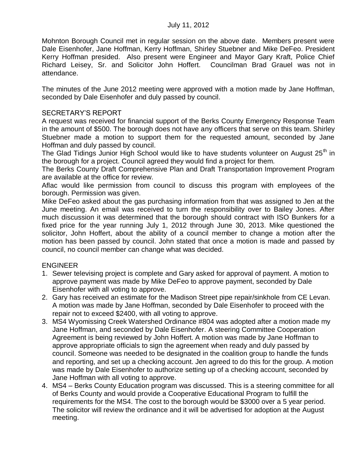Mohnton Borough Council met in regular session on the above date. Members present were Dale Eisenhofer, Jane Hoffman, Kerry Hoffman, Shirley Stuebner and Mike DeFeo. President Kerry Hoffman presided. Also present were Engineer and Mayor Gary Kraft, Police Chief Richard Leisey, Sr. and Solicitor John Hoffert. Councilman Brad Grauel was not in attendance.

The minutes of the June 2012 meeting were approved with a motion made by Jane Hoffman, seconded by Dale Eisenhofer and duly passed by council.

### SECRETARY'S REPORT

A request was received for financial support of the Berks County Emergency Response Team in the amount of \$500. The borough does not have any officers that serve on this team. Shirley Stuebner made a motion to support them for the requested amount, seconded by Jane Hoffman and duly passed by council.

The Glad Tidings Junior High School would like to have students volunteer on August  $25<sup>th</sup>$  in the borough for a project. Council agreed they would find a project for them.

The Berks County Draft Comprehensive Plan and Draft Transportation Improvement Program are available at the office for review.

Aflac would like permission from council to discuss this program with employees of the borough. Permission was given.

Mike DeFeo asked about the gas purchasing information from that was assigned to Jen at the June meeting. An email was received to turn the responsibility over to Bailey Jones. After much discussion it was determined that the borough should contract with ISO Bunkers for a fixed price for the year running July 1, 2012 through June 30, 2013. Mike questioned the solicitor, John Hoffert, about the ability of a council member to change a motion after the motion has been passed by council. John stated that once a motion is made and passed by council, no council member can change what was decided.

# ENGINEER

- 1. Sewer televising project is complete and Gary asked for approval of payment. A motion to approve payment was made by Mike DeFeo to approve payment, seconded by Dale Eisenhofer with all voting to approve.
- 2. Gary has received an estimate for the Madison Street pipe repair/sinkhole from CE Levan. A motion was made by Jane Hoffman, seconded by Dale Eisenhofer to proceed with the repair not to exceed \$2400, with all voting to approve.
- 3. MS4 Wyomissing Creek Watershed Ordinance #804 was adopted after a motion made my Jane Hoffman, and seconded by Dale Eisenhofer. A steering Committee Cooperation Agreement is being reviewed by John Hoffert. A motion was made by Jane Hoffman to approve appropriate officials to sign the agreement when ready and duly passed by council. Someone was needed to be designated in the coalition group to handle the funds and reporting, and set up a checking account. Jen agreed to do this for the group. A motion was made by Dale Eisenhofer to authorize setting up of a checking account, seconded by Jane Hoffman with all voting to approve.
- 4. MS4 Berks County Education program was discussed. This is a steering committee for all of Berks County and would provide a Cooperative Educational Program to fulfill the requirements for the MS4. The cost to the borough would be \$3000 over a 5 year period. The solicitor will review the ordinance and it will be advertised for adoption at the August meeting.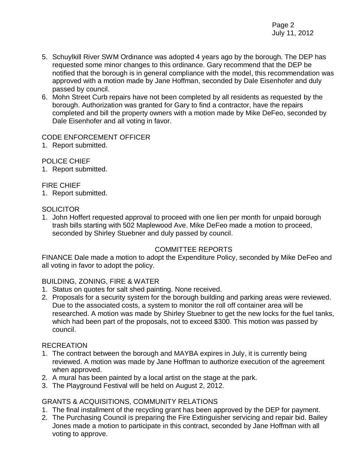- 5. Schuylkill River SWM Ordinance was adopted 4 years ago by the borough. The DEP has requested some minor changes to this ordinance. Gary recommend that the DEP be notified that the borough is in general compliance with the model, this recommendation was approved with a motion made by Jane Hoffman, seconded by Dale Eisenhofer and duly passed by council.
- 6. Mohn Street Curb repairs have not been completed by all residents as requested by the borough. Authorization was granted for Gary to find a contractor, have the repairs completed and bill the property owners with a motion made by Mike DeFeo, seconded by Dale Eisenhofer and all voting in favor.

### CODE ENFORCEMENT OFFICER

1. Report submitted.

### POLICE CHIEF

1. Report submitted.

### FIRE CHIEF

1. Report submitted.

### **SOLICITOR**

1. John Hoffert requested approval to proceed with one lien per month for unpaid borough trash bills starting with 502 Maplewood Ave. Mike DeFeo made a motion to proceed, seconded by Shirley Stuebner and duly passed by council.

# COMMITTEE REPORTS

FINANCE Dale made a motion to adopt the Expenditure Policy, seconded by Mike DeFeo and all voting in favor to adopt the policy.

## BUILDING, ZONING, FIRE & WATER

- 1. Status on quotes for salt shed painting. None received.
- 2. Proposals for a security system for the borough building and parking areas were reviewed. Due to the associated costs, a system to monitor the roll off container area will be researched. A motion was made by Shirley Stuebner to get the new locks for the fuel tanks, which had been part of the proposals, not to exceed \$300. This motion was passed by council.

### **RECREATION**

- 1. The contract between the borough and MAYBA expires in July, it is currently being reviewed. A motion was made by Jane Hoffman to authorize execution of the agreement when approved.
- 2. A mural has been painted by a local artist on the stage at the park.
- 3. The Playground Festival will be held on August 2, 2012.

# GRANTS & ACQUISITIONS, COMMUNITY RELATIONS

- 1. The final installment of the recycling grant has been approved by the DEP for payment.
- 2. The Purchasing Council is preparing the Fire Extinguisher servicing and repair bid. Bailey Jones made a motion to participate in this contract, seconded by Jane Hoffman with all voting to approve.